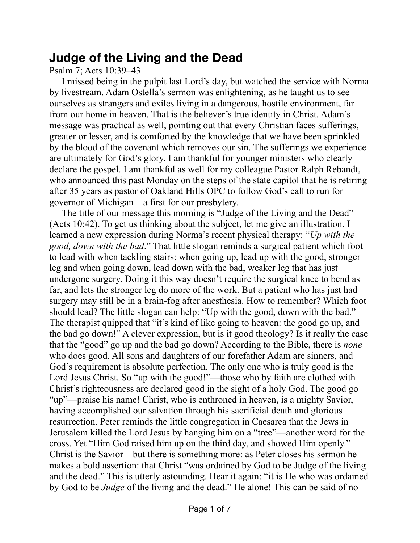## **Judge of the Living and the Dead**

Psalm 7; Acts 10:39–43

I missed being in the pulpit last Lord's day, but watched the service with Norma by livestream. Adam Ostella's sermon was enlightening, as he taught us to see ourselves as strangers and exiles living in a dangerous, hostile environment, far from our home in heaven. That is the believer's true identity in Christ. Adam's message was practical as well, pointing out that every Christian faces sufferings, greater or lesser, and is comforted by the knowledge that we have been sprinkled by the blood of the covenant which removes our sin. The sufferings we experience are ultimately for God's glory. I am thankful for younger ministers who clearly declare the gospel. I am thankful as well for my colleague Pastor Ralph Rebandt, who announced this past Monday on the steps of the state capitol that he is retiring after 35 years as pastor of Oakland Hills OPC to follow God's call to run for governor of Michigan—a first for our presbytery.

The title of our message this morning is "Judge of the Living and the Dead" (Acts 10:42). To get us thinking about the subject, let me give an illustration. I learned a new expression during Norma's recent physical therapy: "*Up with the good, down with the bad*." That little slogan reminds a surgical patient which foot to lead with when tackling stairs: when going up, lead up with the good, stronger leg and when going down, lead down with the bad, weaker leg that has just undergone surgery. Doing it this way doesn't require the surgical knee to bend as far, and lets the stronger leg do more of the work. But a patient who has just had surgery may still be in a brain-fog after anesthesia. How to remember? Which foot should lead? The little slogan can help: "Up with the good, down with the bad." The therapist quipped that "it's kind of like going to heaven: the good go up, and the bad go down!" A clever expression, but is it good theology? Is it really the case that the "good" go up and the bad go down? According to the Bible, there is *none* who does good. All sons and daughters of our forefather Adam are sinners, and God's requirement is absolute perfection. The only one who is truly good is the Lord Jesus Christ. So "up with the good!"—those who by faith are clothed with Christ's righteousness are declared good in the sight of a holy God. The good go "up"—praise his name! Christ, who is enthroned in heaven, is a mighty Savior, having accomplished our salvation through his sacrificial death and glorious resurrection. Peter reminds the little congregation in Caesarea that the Jews in Jerusalem killed the Lord Jesus by hanging him on a "tree"—another word for the cross. Yet "Him God raised him up on the third day, and showed Him openly." Christ is the Savior—but there is something more: as Peter closes his sermon he makes a bold assertion: that Christ "was ordained by God to be Judge of the living and the dead." This is utterly astounding. Hear it again: "it is He who was ordained by God to be *Judge* of the living and the dead." He alone! This can be said of no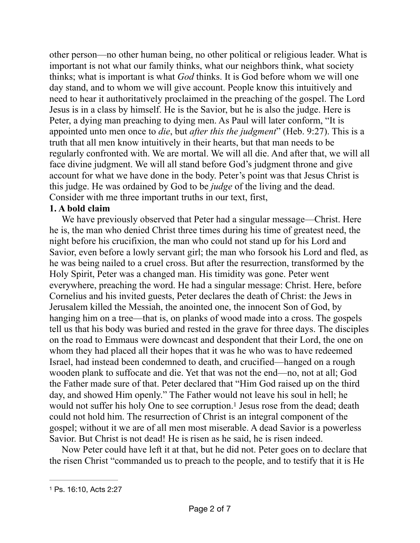other person—no other human being, no other political or religious leader. What is important is not what our family thinks, what our neighbors think, what society thinks; what is important is what *God* thinks. It is God before whom we will one day stand, and to whom we will give account. People know this intuitively and need to hear it authoritatively proclaimed in the preaching of the gospel. The Lord Jesus is in a class by himself. He is the Savior, but he is also the judge. Here is Peter, a dying man preaching to dying men. As Paul will later conform, "It is appointed unto men once to *die*, but *after this the judgment*" (Heb. 9:27). This is a truth that all men know intuitively in their hearts, but that man needs to be regularly confronted with. We are mortal. We will all die. And after that, we will all face divine judgment. We will all stand before God's judgment throne and give account for what we have done in the body. Peter's point was that Jesus Christ is this judge. He was ordained by God to be *judge* of the living and the dead. Consider with me three important truths in our text, first,

## **1. A bold claim**

We have previously observed that Peter had a singular message—Christ. Here he is, the man who denied Christ three times during his time of greatest need, the night before his crucifixion, the man who could not stand up for his Lord and Savior, even before a lowly servant girl; the man who forsook his Lord and fled, as he was being nailed to a cruel cross. But after the resurrection, transformed by the Holy Spirit, Peter was a changed man. His timidity was gone. Peter went everywhere, preaching the word. He had a singular message: Christ. Here, before Cornelius and his invited guests, Peter declares the death of Christ: the Jews in Jerusalem killed the Messiah, the anointed one, the innocent Son of God, by hanging him on a tree—that is, on planks of wood made into a cross. The gospels tell us that his body was buried and rested in the grave for three days. The disciples on the road to Emmaus were downcast and despondent that their Lord, the one on whom they had placed all their hopes that it was he who was to have redeemed Israel, had instead been condemned to death, and crucified—hanged on a rough wooden plank to suffocate and die. Yet that was not the end—no, not at all; God the Father made sure of that. Peter declared that "Him God raised up on the third day, and showed Him openly." The Father would not leave his soul in hell; he would not suffer his holy One to see corruption[.](#page-1-0)<sup>[1](#page-1-0)</sup> Jesus rose from the dead; death could not hold him. The resurrection of Christ is an integral component of the gospel; without it we are of all men most miserable. A dead Savior is a powerless Savior. But Christ is not dead! He is risen as he said, he is risen indeed.

<span id="page-1-1"></span>Now Peter could have left it at that, but he did not. Peter goes on to declare that the risen Christ "commanded us to preach to the people, and to testify that it is He

<span id="page-1-0"></span>[<sup>1</sup>](#page-1-1) Ps. 16:10, Acts 2:27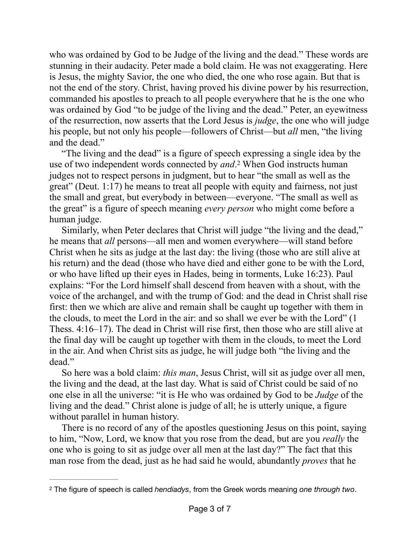who was ordained by God to be Judge of the living and the dead." These words are stunning in their audacity. Peter made a bold claim. He was not exaggerating. Here is Jesus, the mighty Savior, the one who died, the one who rose again. But that is not the end of the story. Christ, having proved his divine power by his resurrection, commanded his apostles to preach to all people everywhere that he is the one who was ordained by God "to be judge of the living and the dead." Peter, an eyewitness of the resurrection, now asserts that the Lord Jesus is *judge*, the one who will judge his people, but not only his people—followers of Christ—but *all* men, "the living and the dead."

<span id="page-2-1"></span>"The living and the dead" is a figure of speech expressing a single idea by the use of two independent words connected by *and*.<sup>[2](#page-2-0)</sup> When God instructs human judges not to respect persons in judgment, but to hear "the small as well as the great" (Deut. 1:17) he means to treat all people with equity and fairness, not just the small and great, but everybody in between—everyone. "The small as well as the great" is a figure of speech meaning *every person* who might come before a human judge.

Similarly, when Peter declares that Christ will judge "the living and the dead," he means that *all* persons—all men and women everywhere—will stand before Christ when he sits as judge at the last day: the living (those who are still alive at his return) and the dead (those who have died and either gone to be with the Lord, or who have lifted up their eyes in Hades, being in torments, Luke 16:23). Paul explains: "For the Lord himself shall descend from heaven with a shout, with the voice of the archangel, and with the trump of God: and the dead in Christ shall rise first: then we which are alive and remain shall be caught up together with them in the clouds, to meet the Lord in the air: and so shall we ever be with the Lord" (1 Thess. 4:16–17). The dead in Christ will rise first, then those who are still alive at the final day will be caught up together with them in the clouds, to meet the Lord in the air. And when Christ sits as judge, he will judge both "the living and the dead."

So here was a bold claim: *this man*, Jesus Christ, will sit as judge over all men, the living and the dead, at the last day. What is said of Christ could be said of no one else in all the universe: "it is He who was ordained by God to be *Judge* of the living and the dead." Christ alone is judge of all; he is utterly unique, a figure without parallel in human history.

There is no record of any of the apostles questioning Jesus on this point, saying to him, "Now, Lord, we know that you rose from the dead, but are you *really* the one who is going to sit as judge over all men at the last day?" The fact that this man rose from the dead, just as he had said he would, abundantly *proves* that he

<span id="page-2-0"></span>The figure of speech is called *hendiadys*, from the Greek words meaning *one through two*. [2](#page-2-1)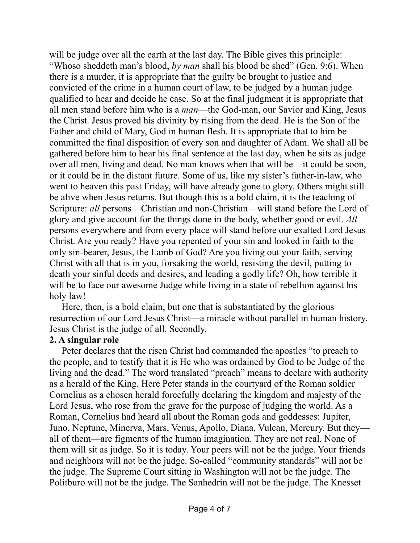will be judge over all the earth at the last day. The Bible gives this principle: "Whoso sheddeth man's blood, *by man* shall his blood be shed" (Gen. 9:6). When there is a murder, it is appropriate that the guilty be brought to justice and convicted of the crime in a human court of law, to be judged by a human judge qualified to hear and decide he case. So at the final judgment it is appropriate that all men stand before him who is a *man*—the God-man, our Savior and King, Jesus the Christ. Jesus proved his divinity by rising from the dead. He is the Son of the Father and child of Mary, God in human flesh. It is appropriate that to him be committed the final disposition of every son and daughter of Adam. We shall all be gathered before him to hear his final sentence at the last day, when he sits as judge over all men, living and dead. No man knows when that will be—it could be soon, or it could be in the distant future. Some of us, like my sister's father-in-law, who went to heaven this past Friday, will have already gone to glory. Others might still be alive when Jesus returns. But though this is a bold claim, it is the teaching of Scripture: *all* persons—Christian and non-Christian—will stand before the Lord of glory and give account for the things done in the body, whether good or evil. *All* persons everywhere and from every place will stand before our exalted Lord Jesus Christ. Are you ready? Have you repented of your sin and looked in faith to the only sin-bearer, Jesus, the Lamb of God? Are you living out your faith, serving Christ with all that is in you, forsaking the world, resisting the devil, putting to death your sinful deeds and desires, and leading a godly life? Oh, how terrible it will be to face our awesome Judge while living in a state of rebellion against his holy law!

Here, then, is a bold claim, but one that is substantiated by the glorious resurrection of our Lord Jesus Christ—a miracle without parallel in human history. Jesus Christ is the judge of all. Secondly,

## **2. A singular role**

Peter declares that the risen Christ had commanded the apostles "to preach to the people, and to testify that it is He who was ordained by God to be Judge of the living and the dead." The word translated "preach" means to declare with authority as a herald of the King. Here Peter stands in the courtyard of the Roman soldier Cornelius as a chosen herald forcefully declaring the kingdom and majesty of the Lord Jesus, who rose from the grave for the purpose of judging the world. As a Roman, Cornelius had heard all about the Roman gods and goddesses: Jupiter, Juno, Neptune, Minerva, Mars, Venus, Apollo, Diana, Vulcan, Mercury. But they all of them—are figments of the human imagination. They are not real. None of them will sit as judge. So it is today. Your peers will not be the judge. Your friends and neighbors will not be the judge. So-called "community standards" will not be the judge. The Supreme Court sitting in Washington will not be the judge. The Politburo will not be the judge. The Sanhedrin will not be the judge. The Knesset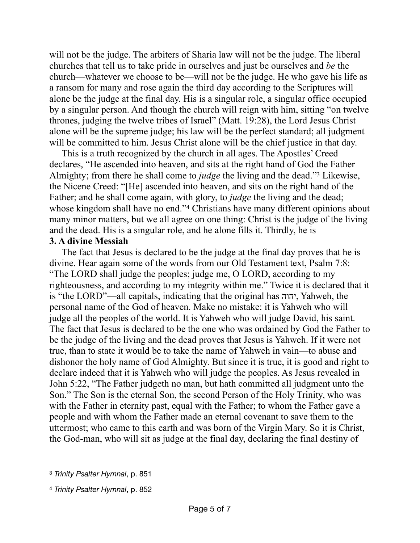will not be the judge. The arbiters of Sharia law will not be the judge. The liberal churches that tell us to take pride in ourselves and just be ourselves and *be* the church—whatever we choose to be—will not be the judge. He who gave his life as a ransom for many and rose again the third day according to the Scriptures will alone be the judge at the final day. His is a singular role, a singular office occupied by a singular person. And though the church will reign with him, sitting "on twelve thrones, judging the twelve tribes of Israel" (Matt. 19:28), the Lord Jesus Christ alone will be the supreme judge; his law will be the perfect standard; all judgment will be committed to him. Jesus Christ alone will be the chief justice in that day.

<span id="page-4-2"></span>This is a truth recognized by the church in all ages. The Apostles' Creed declares, "He ascended into heaven, and sits at the right hand of God the Father Almighty;from there he shall come to *judge* the living and the dead."<sup>[3](#page-4-0)</sup> Likewise, the Nicene Creed: "[He] ascended into heaven, and sits on the right hand of the Father; and he shall come again, with glory, to *judge* the living and the dead; whose kingdom shall have no end."<sup>[4](#page-4-1)</sup> Christians have many different opinions about many minor matters, but we all agree on one thing: Christ is the judge of the living and the dead. His is a singular role, and he alone fills it. Thirdly, he is

## <span id="page-4-3"></span>**3. A divine Messiah**

The fact that Jesus is declared to be the judge at the final day proves that he is divine. Hear again some of the words from our Old Testament text, Psalm 7:8: "The LORD shall judge the peoples; judge me, O LORD, according to my righteousness, and according to my integrity within me." Twice it is declared that it is "the LORD"—all capitals, indicating that the original has יהוה, Yahweh, the personal name of the God of heaven. Make no mistake: it is Yahweh who will judge all the peoples of the world. It is Yahweh who will judge David, his saint. The fact that Jesus is declared to be the one who was ordained by God the Father to be the judge of the living and the dead proves that Jesus is Yahweh. If it were not true, than to state it would be to take the name of Yahweh in vain—to abuse and dishonor the holy name of God Almighty. But since it is true, it is good and right to declare indeed that it is Yahweh who will judge the peoples. As Jesus revealed in John 5:22, "The Father judgeth no man, but hath committed all judgment unto the Son." The Son is the eternal Son, the second Person of the Holy Trinity, who was with the Father in eternity past, equal with the Father; to whom the Father gave a people and with whom the Father made an eternal covenant to save them to the uttermost; who came to this earth and was born of the Virgin Mary. So it is Christ, the God-man, who will sit as judge at the final day, declaring the final destiny of

<span id="page-4-0"></span>[<sup>3</sup>](#page-4-2) *Trinity Psalter Hymnal*, p. 851

<span id="page-4-1"></span>[<sup>4</sup>](#page-4-3) *Trinity Psalter Hymnal*, p. 852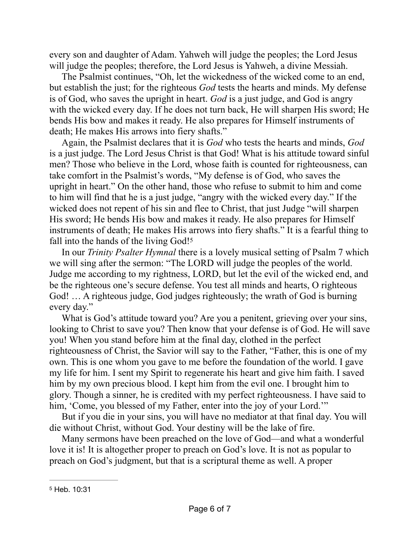every son and daughter of Adam. Yahweh will judge the peoples; the Lord Jesus will judge the peoples; therefore, the Lord Jesus is Yahweh, a divine Messiah.

The Psalmist continues, "Oh, let the wickedness of the wicked come to an end, but establish the just; for the righteous *God* tests the hearts and minds. My defense is of God, who saves the upright in heart. *God* is a just judge, and God is angry with the wicked every day. If he does not turn back, He will sharpen His sword; He bends His bow and makes it ready. He also prepares for Himself instruments of death; He makes His arrows into fiery shafts."

Again, the Psalmist declares that it is *God* who tests the hearts and minds, *God* is a just judge. The Lord Jesus Christ is that God! What is his attitude toward sinful men? Those who believe in the Lord, whose faith is counted for righteousness, can take comfort in the Psalmist's words, "My defense is of God, who saves the upright in heart." On the other hand, those who refuse to submit to him and come to him will find that he is a just judge, "angry with the wicked every day." If the wicked does not repent of his sin and flee to Christ, that just Judge "will sharpen His sword; He bends His bow and makes it ready. He also prepares for Himself instruments of death; He makes His arrows into fiery shafts." It is a fearful thing to fall into the hands of the living God!<sup>[5](#page-5-0)</sup>

<span id="page-5-1"></span>In our *Trinity Psalter Hymnal* there is a lovely musical setting of Psalm 7 which we will sing after the sermon: "The LORD will judge the peoples of the world. Judge me according to my rightness, LORD, but let the evil of the wicked end, and be the righteous one's secure defense. You test all minds and hearts, O righteous God! … A righteous judge, God judges righteously; the wrath of God is burning every day."

What is God's attitude toward you? Are you a penitent, grieving over your sins, looking to Christ to save you? Then know that your defense is of God. He will save you! When you stand before him at the final day, clothed in the perfect righteousness of Christ, the Savior will say to the Father, "Father, this is one of my own. This is one whom you gave to me before the foundation of the world. I gave my life for him. I sent my Spirit to regenerate his heart and give him faith. I saved him by my own precious blood. I kept him from the evil one. I brought him to glory. Though a sinner, he is credited with my perfect righteousness. I have said to him, 'Come, you blessed of my Father, enter into the joy of your Lord.'"

But if you die in your sins, you will have no mediator at that final day. You will die without Christ, without God. Your destiny will be the lake of fire.

Many sermons have been preached on the love of God—and what a wonderful love it is! It is altogether proper to preach on God's love. It is not as popular to preach on God's judgment, but that is a scriptural theme as well. A proper

<span id="page-5-0"></span>[<sup>5</sup>](#page-5-1) Heb. 10:31